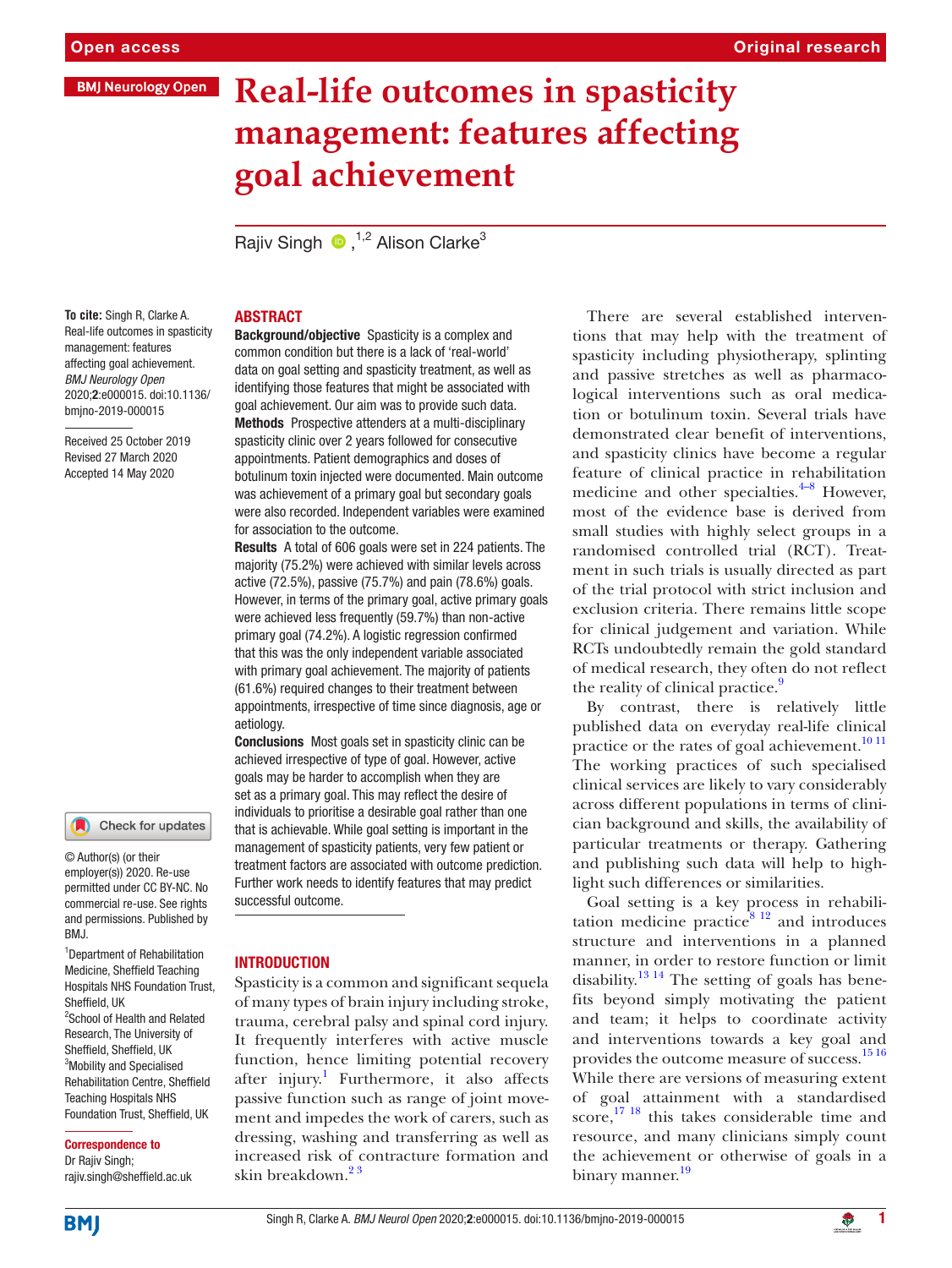# Original research

# **Real-life outcomes in spasticity management: features affecting goal achievement**

Rajiv Singh  $\bullet$ ,<sup>1,2</sup> Alison Clarke<sup>3</sup>

#### **To cite:** Singh R, Clarke A. Real-life outcomes in spasticity management: features affecting goal achievement. *BMJ Neurology Open* 2020;2:e000015. doi:10.1136/ bmjno-2019-000015

Received 25 October 2019 Revised 27 March 2020 Accepted 14 May 2020

#### Check for updates

© Author(s) (or their employer(s)) 2020. Re-use permitted under CC BY-NC. No commercial re-use. See rights and permissions. Published by BMJ.

1 Department of Rehabilitation Medicine, Sheffield Teaching Hospitals NHS Foundation Trust, Sheffield, UK <sup>2</sup>School of Health and Related Research, The University of Sheffield, Sheffield, UK <sup>3</sup>Mobility and Specialised Rehabilitation Centre, Sheffield Teaching Hospitals NHS Foundation Trust, Sheffield, UK

#### Correspondence to

Dr Rajiv Singh; rajiv.singh@sheffield.ac.uk

### **ABSTRACT**

Background/objective Spasticity is a complex and common condition but there is a lack of 'real-world' data on goal setting and spasticity treatment, as well as identifying those features that might be associated with goal achievement. Our aim was to provide such data. Methods Prospective attenders at a multi-disciplinary spasticity clinic over 2 years followed for consecutive appointments. Patient demographics and doses of botulinum toxin injected were documented. Main outcome was achievement of a primary goal but secondary goals were also recorded. Independent variables were examined for association to the outcome.

Results A total of 606 goals were set in 224 patients. The majority (75.2%) were achieved with similar levels across active (72.5%), passive (75.7%) and pain (78.6%) goals. However, in terms of the primary goal, active primary goals were achieved less frequently (59.7%) than non-active primary goal (74.2%). A logistic regression confirmed that this was the only independent variable associated with primary goal achievement. The majority of patients (61.6%) required changes to their treatment between appointments, irrespective of time since diagnosis, age or aetiology.

Conclusions Most goals set in spasticity clinic can be achieved irrespective of type of goal. However, active goals may be harder to accomplish when they are set as a primary goal. This may reflect the desire of individuals to prioritise a desirable goal rather than one that is achievable. While goal setting is important in the management of spasticity patients, very few patient or treatment factors are associated with outcome prediction. Further work needs to identify features that may predict successful outcome.

#### **INTRODUCTION**

Spasticity is a common and significant sequela of many types of brain injury including stroke, trauma, cerebral palsy and spinal cord injury. It frequently interferes with active muscle function, hence limiting potential recovery after injury.<sup>[1](#page-5-0)</sup> Furthermore, it also affects passive function such as range of joint movement and impedes the work of carers, such as dressing, washing and transferring as well as increased risk of contracture formation and skin breakdown.<sup>23</sup>

There are several established interventions that may help with the treatment of spasticity including physiotherapy, splinting and passive stretches as well as pharmacological interventions such as oral medication or botulinum toxin. Several trials have demonstrated clear benefit of interventions, and spasticity clinics have become a regular feature of clinical practice in rehabilitation medicine and other specialties. $4-8$  However, most of the evidence base is derived from small studies with highly select groups in a randomised controlled trial (RCT). Treatment in such trials is usually directed as part of the trial protocol with strict inclusion and exclusion criteria. There remains little scope for clinical judgement and variation. While RCTs undoubtedly remain the gold standard of medical research, they often do not reflect the reality of clinical practice.<sup>9</sup>

By contrast, there is relatively little published data on everyday real-life clinical practice or the rates of goal achievement.<sup>10 11</sup> The working practices of such specialised clinical services are likely to vary considerably across different populations in terms of clinician background and skills, the availability of particular treatments or therapy. Gathering and publishing such data will help to highlight such differences or similarities.

Goal setting is a key process in rehabilitation medicine practice $8^{12}$  and introduces structure and interventions in a planned manner, in order to restore function or limit disability. $13^{14}$  The setting of goals has benefits beyond simply motivating the patient and team; it helps to coordinate activity and interventions towards a key goal and provides the outcome measure of success.<sup>[15 16](#page-6-1)</sup> While there are versions of measuring extent of goal attainment with a standardised score,<sup>[17 18](#page-6-2)</sup> this takes considerable time and resource, and many clinicians simply count the achievement or otherwise of goals in a binary manner.<sup>[19](#page-6-3)</sup>

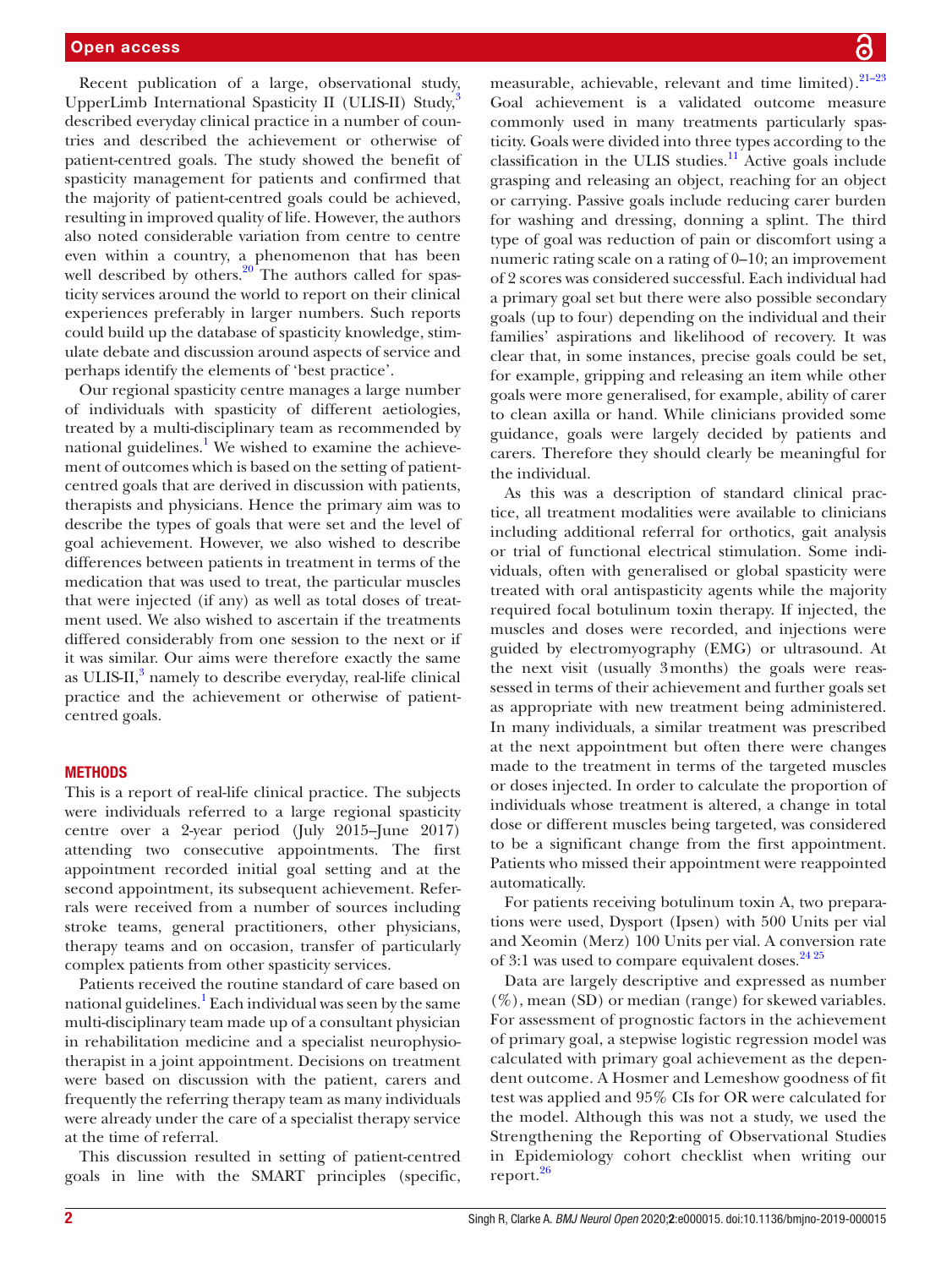Recent publication of a large, observational study, UpperLimb International Spasticity II (ULIS-II) Study, $\frac{3}{2}$  $\frac{3}{2}$  $\frac{3}{2}$ described everyday clinical practice in a number of countries and described the achievement or otherwise of patient-centred goals. The study showed the benefit of spasticity management for patients and confirmed that the majority of patient-centred goals could be achieved, resulting in improved quality of life. However, the authors also noted considerable variation from centre to centre even within a country, a phenomenon that has been well described by others. $20$  The authors called for spasticity services around the world to report on their clinical experiences preferably in larger numbers. Such reports could build up the database of spasticity knowledge, stimulate debate and discussion around aspects of service and perhaps identify the elements of 'best practice'.

Our regional spasticity centre manages a large number of individuals with spasticity of different aetiologies, treated by a multi-disciplinary team as recommended by national guidelines.<sup>[1](#page-5-0)</sup> We wished to examine the achievement of outcomes which is based on the setting of patientcentred goals that are derived in discussion with patients, therapists and physicians. Hence the primary aim was to describe the types of goals that were set and the level of goal achievement. However, we also wished to describe differences between patients in treatment in terms of the medication that was used to treat, the particular muscles that were injected (if any) as well as total doses of treatment used. We also wished to ascertain if the treatments differed considerably from one session to the next or if it was similar. Our aims were therefore exactly the same as ULIS-II,<sup>[3](#page-5-6)</sup> namely to describe everyday, real-life clinical practice and the achievement or otherwise of patientcentred goals.

# **METHODS**

This is a report of real-life clinical practice. The subjects were individuals referred to a large regional spasticity centre over a 2-year period (July 2015–June 2017) attending two consecutive appointments. The first appointment recorded initial goal setting and at the second appointment, its subsequent achievement. Referrals were received from a number of sources including stroke teams, general practitioners, other physicians, therapy teams and on occasion, transfer of particularly complex patients from other spasticity services.

Patients received the routine standard of care based on national guidelines.<sup>[1](#page-5-0)</sup> Each individual was seen by the same multi-disciplinary team made up of a consultant physician in rehabilitation medicine and a specialist neurophysiotherapist in a joint appointment. Decisions on treatment were based on discussion with the patient, carers and frequently the referring therapy team as many individuals were already under the care of a specialist therapy service at the time of referral.

This discussion resulted in setting of patient-centred goals in line with the SMART principles (specific,

measurable, achievable, relevant and time limited).<sup>21-23</sup> Goal achievement is a validated outcome measure commonly used in many treatments particularly spasticity. Goals were divided into three types according to the classification in the ULIS studies.<sup>[11](#page-5-7)</sup> Active goals include grasping and releasing an object, reaching for an object or carrying. Passive goals include reducing carer burden for washing and dressing, donning a splint. The third type of goal was reduction of pain or discomfort using a numeric rating scale on a rating of 0–10; an improvement of 2 scores was considered successful. Each individual had a primary goal set but there were also possible secondary goals (up to four) depending on the individual and their families' aspirations and likelihood of recovery. It was clear that, in some instances, precise goals could be set, for example, gripping and releasing an item while other goals were more generalised, for example, ability of carer to clean axilla or hand. While clinicians provided some guidance, goals were largely decided by patients and carers. Therefore they should clearly be meaningful for the individual.

As this was a description of standard clinical practice, all treatment modalities were available to clinicians including additional referral for orthotics, gait analysis or trial of functional electrical stimulation. Some individuals, often with generalised or global spasticity were treated with oral antispasticity agents while the majority required focal botulinum toxin therapy. If injected, the muscles and doses were recorded, and injections were guided by electromyography (EMG) or ultrasound. At the next visit (usually 3months) the goals were reassessed in terms of their achievement and further goals set as appropriate with new treatment being administered. In many individuals, a similar treatment was prescribed at the next appointment but often there were changes made to the treatment in terms of the targeted muscles or doses injected. In order to calculate the proportion of individuals whose treatment is altered, a change in total dose or different muscles being targeted, was considered to be a significant change from the first appointment. Patients who missed their appointment were reappointed automatically.

For patients receiving botulinum toxin A, two preparations were used, Dysport (Ipsen) with 500 Units per vial and Xeomin (Merz) 100 Units per vial. A conversion rate of 3:1 was used to compare equivalent doses.<sup>[24 25](#page-6-6)</sup>

Data are largely descriptive and expressed as number (%), mean (SD) or median (range) for skewed variables. For assessment of prognostic factors in the achievement of primary goal, a stepwise logistic regression model was calculated with primary goal achievement as the dependent outcome. A Hosmer and Lemeshow goodness of fit test was applied and 95% CIs for OR were calculated for the model. Although this was not a study, we used the Strengthening the Reporting of Observational Studies in Epidemiology cohort checklist when writing our report.<sup>[26](#page-6-7)</sup>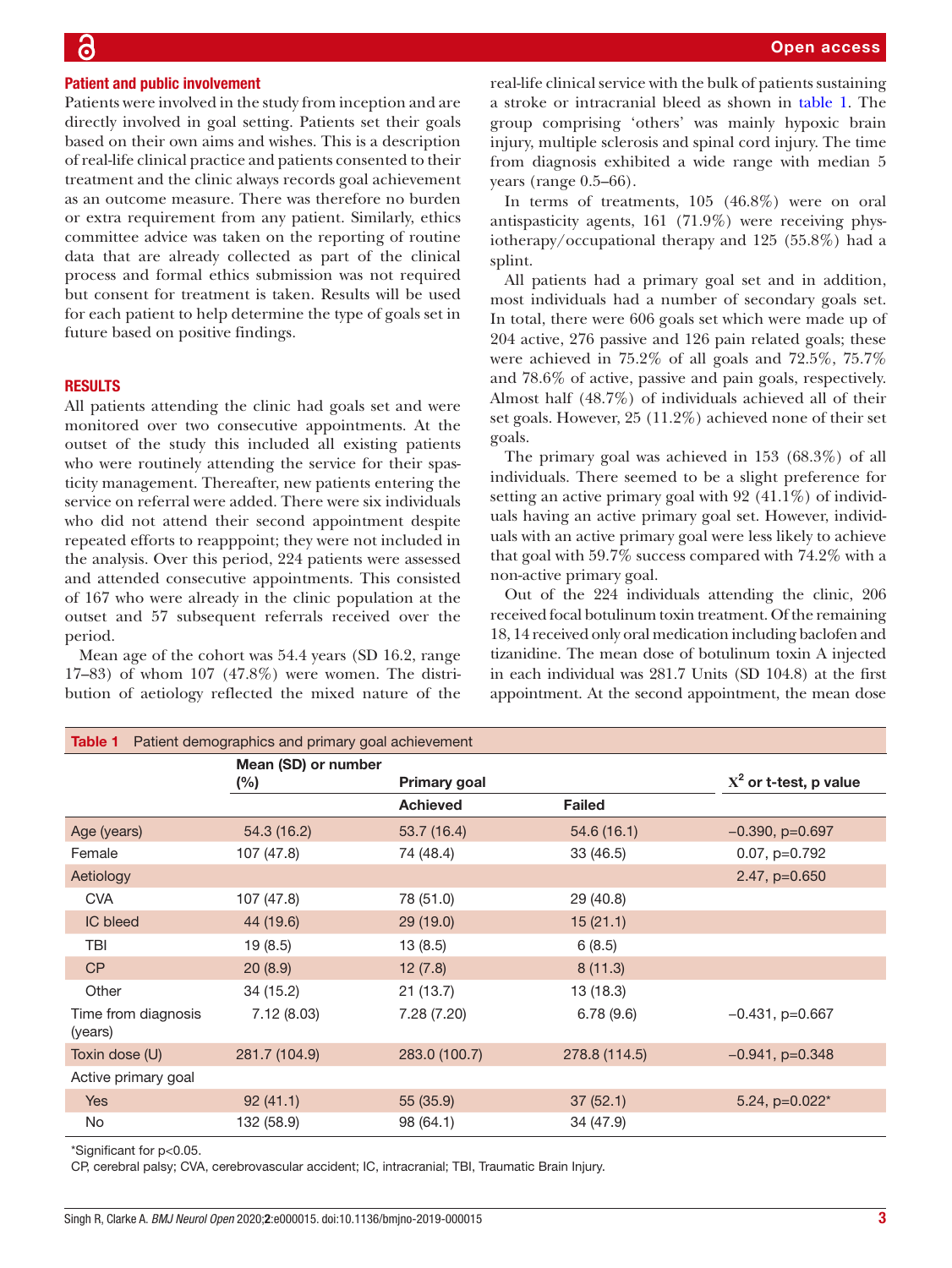#### Patient and public involvement

Patients were involved in the study from inception and are directly involved in goal setting. Patients set their goals based on their own aims and wishes. This is a description of real-life clinical practice and patients consented to their treatment and the clinic always records goal achievement as an outcome measure. There was therefore no burden or extra requirement from any patient. Similarly, ethics committee advice was taken on the reporting of routine data that are already collected as part of the clinical process and formal ethics submission was not required but consent for treatment is taken. Results will be used for each patient to help determine the type of goals set in future based on positive findings.

### **RESULTS**

All patients attending the clinic had goals set and were monitored over two consecutive appointments. At the outset of the study this included all existing patients who were routinely attending the service for their spasticity management. Thereafter, new patients entering the service on referral were added. There were six individuals who did not attend their second appointment despite repeated efforts to reapppoint; they were not included in the analysis. Over this period, 224 patients were assessed and attended consecutive appointments. This consisted of 167 who were already in the clinic population at the outset and 57 subsequent referrals received over the period.

Mean age of the cohort was 54.4 years (SD 16.2, range 17–83) of whom 107 (47.8%) were women. The distribution of aetiology reflected the mixed nature of the

real-life clinical service with the bulk of patients sustaining a stroke or intracranial bleed as shown in [table](#page-2-0) 1. The group comprising 'others' was mainly hypoxic brain injury, multiple sclerosis and spinal cord injury. The time from diagnosis exhibited a wide range with median 5 years (range 0.5–66).

In terms of treatments, 105 (46.8%) were on oral antispasticity agents, 161 (71.9%) were receiving physiotherapy/occupational therapy and 125 (55.8%) had a splint.

All patients had a primary goal set and in addition, most individuals had a number of secondary goals set. In total, there were 606 goals set which were made up of 204 active, 276 passive and 126 pain related goals; these were achieved in 75.2% of all goals and 72.5%, 75.7% and 78.6% of active, passive and pain goals, respectively. Almost half (48.7%) of individuals achieved all of their set goals. However, 25 (11.2%) achieved none of their set goals.

The primary goal was achieved in 153 (68.3%) of all individuals. There seemed to be a slight preference for setting an active primary goal with 92 (41.1%) of individuals having an active primary goal set. However, individuals with an active primary goal were less likely to achieve that goal with 59.7% success compared with 74.2% with a non-active primary goal.

Out of the 224 individuals attending the clinic, 206 received focal botulinum toxin treatment. Of the remaining 18, 14 received only oral medication including baclofen and tizanidine. The mean dose of botulinum toxin A injected in each individual was 281.7 Units (SD 104.8) at the first appointment. At the second appointment, the mean dose

<span id="page-2-0"></span>

| Patient demographics and primary goal achievement<br>Table 1 |                            |                 |               |                          |  |  |  |
|--------------------------------------------------------------|----------------------------|-----------------|---------------|--------------------------|--|--|--|
|                                                              | Mean (SD) or number<br>(%) | Primary goal    |               | $X^2$ or t-test, p value |  |  |  |
|                                                              |                            | <b>Achieved</b> | <b>Failed</b> |                          |  |  |  |
| Age (years)                                                  | 54.3 (16.2)                | 53.7(16.4)      | 54.6(16.1)    | $-0.390$ , $p=0.697$     |  |  |  |
| Female                                                       | 107 (47.8)                 | 74 (48.4)       | 33 (46.5)     | $0.07$ , $p=0.792$       |  |  |  |
| Aetiology                                                    |                            |                 |               | 2.47, p=0.650            |  |  |  |
| <b>CVA</b>                                                   | 107 (47.8)                 | 78 (51.0)       | 29 (40.8)     |                          |  |  |  |
| <b>IC</b> bleed                                              | 44 (19.6)                  | 29 (19.0)       | 15(21.1)      |                          |  |  |  |
| TBI                                                          | 19(8.5)                    | 13(8.5)         | 6(8.5)        |                          |  |  |  |
| CP                                                           | 20(8.9)                    | 12(7.8)         | 8(11.3)       |                          |  |  |  |
| Other                                                        | 34 (15.2)                  | 21(13.7)        | 13 (18.3)     |                          |  |  |  |
| Time from diagnosis<br>(years)                               | 7.12(8.03)                 | 7.28 (7.20)     | 6.78(9.6)     | $-0.431$ , p=0.667       |  |  |  |
| Toxin dose (U)                                               | 281.7 (104.9)              | 283.0 (100.7)   | 278.8 (114.5) | $-0.941$ , p=0.348       |  |  |  |
| Active primary goal                                          |                            |                 |               |                          |  |  |  |
| <b>Yes</b>                                                   | 92(41.1)                   | 55 (35.9)       | 37(52.1)      | 5.24, $p=0.022*$         |  |  |  |
| No                                                           | 132 (58.9)                 | 98 (64.1)       | 34 (47.9)     |                          |  |  |  |

\*Significant for p<0.05.

CP, cerebral palsy; CVA, cerebrovascular accident; IC, intracranial; TBI, Traumatic Brain Injury.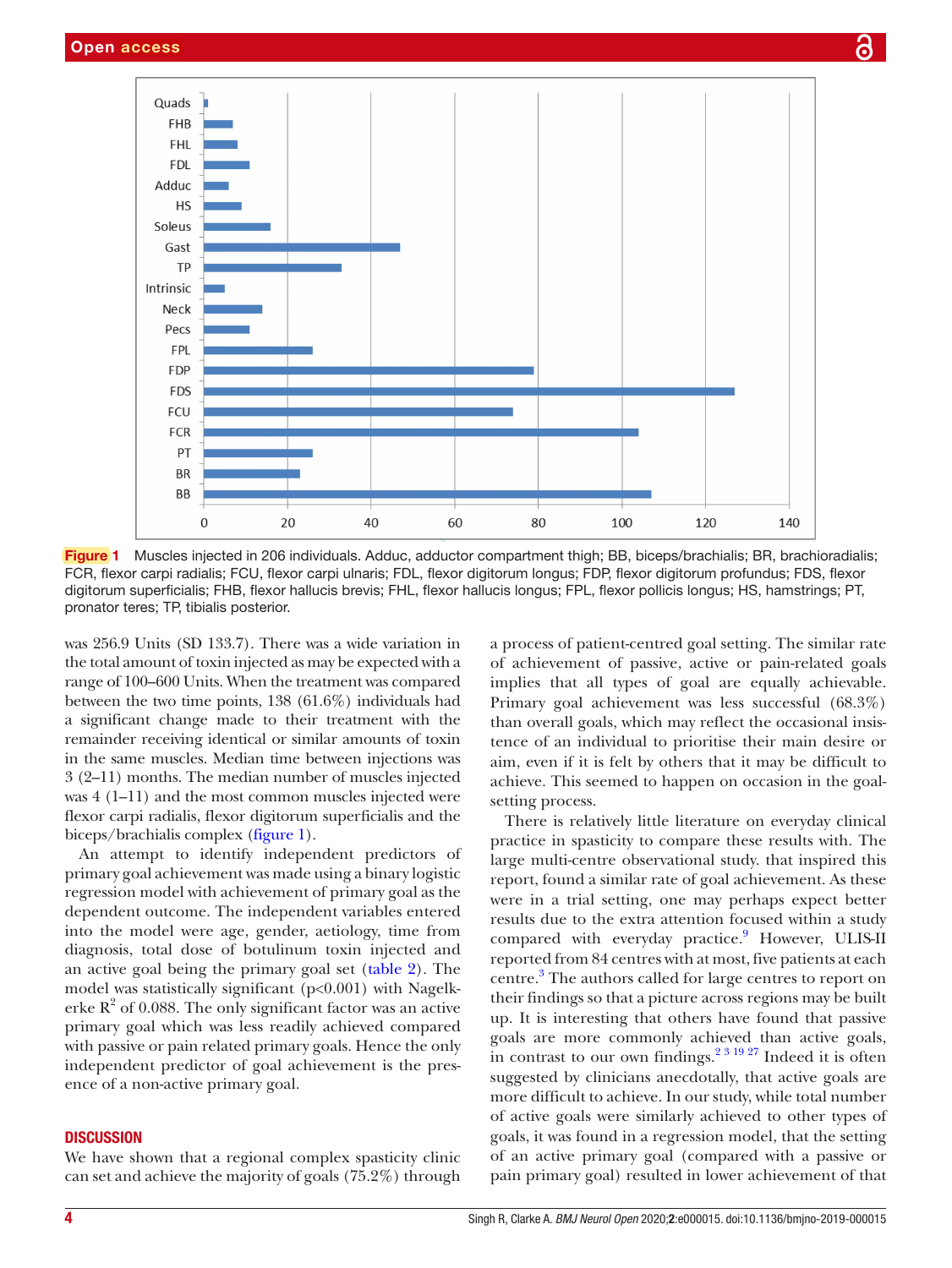

<span id="page-3-0"></span>Figure 1 Muscles injected in 206 individuals. Adduc, adductor compartment thigh; BB, biceps/brachialis; BR, brachioradialis; FCR, flexor carpi radialis; FCU, flexor carpi ulnaris; FDL, flexor digitorum longus; FDP, flexor digitorum profundus; FDS, flexor digitorum superficialis; FHB, flexor hallucis brevis; FHL, flexor hallucis longus; FPL, flexor pollicis longus; HS, hamstrings; PT, pronator teres; TP, tibialis posterior.

was 256.9 Units (SD 133.7). There was a wide variation in the total amount of toxin injected as may be expected with a range of 100–600 Units. When the treatment was compared between the two time points, 138 (61.6%) individuals had a significant change made to their treatment with the remainder receiving identical or similar amounts of toxin in the same muscles. Median time between injections was 3 (2–11) months. The median number of muscles injected was 4 (1–11) and the most common muscles injected were flexor carpi radialis, flexor digitorum superficialis and the biceps/brachialis complex ([figure](#page-3-0) 1).

An attempt to identify independent predictors of primary goal achievement was made using a binary logistic regression model with achievement of primary goal as the dependent outcome. The independent variables entered into the model were age, gender, aetiology, time from diagnosis, total dose of botulinum toxin injected and an active goal being the primary goal set [\(table](#page-4-0) 2). The model was statistically significant (p<0.001) with Nagelkerke  $R^2$  of 0.088. The only significant factor was an active primary goal which was less readily achieved compared with passive or pain related primary goals. Hence the only independent predictor of goal achievement is the presence of a non-active primary goal.

# **DISCUSSION**

We have shown that a regional complex spasticity clinic can set and achieve the majority of goals (75.2%) through

a process of patient-centred goal setting. The similar rate of achievement of passive, active or pain-related goals implies that all types of goal are equally achievable. Primary goal achievement was less successful (68.3%) than overall goals, which may reflect the occasional insistence of an individual to prioritise their main desire or aim, even if it is felt by others that it may be difficult to achieve. This seemed to happen on occasion in the goalsetting process.

There is relatively little literature on everyday clinical practice in spasticity to compare these results with. The large multi-centre observational study. that inspired this report, found a similar rate of goal achievement. As these were in a trial setting, one may perhaps expect better results due to the extra attention focused within a study compared with everyday practice.<sup>[9](#page-5-3)</sup> However, ULIS-II reported from 84 centres with at most, five patients at each centre.<sup>[3](#page-5-6)</sup> The authors called for large centres to report on their findings so that a picture across regions may be built up. It is interesting that others have found that passive goals are more commonly achieved than active goals, in contrast to our own findings.<sup>2 3 19 27</sup> Indeed it is often suggested by clinicians anecdotally, that active goals are more difficult to achieve. In our study, while total number of active goals were similarly achieved to other types of goals, it was found in a regression model, that the setting of an active primary goal (compared with a passive or pain primary goal) resulted in lower achievement of that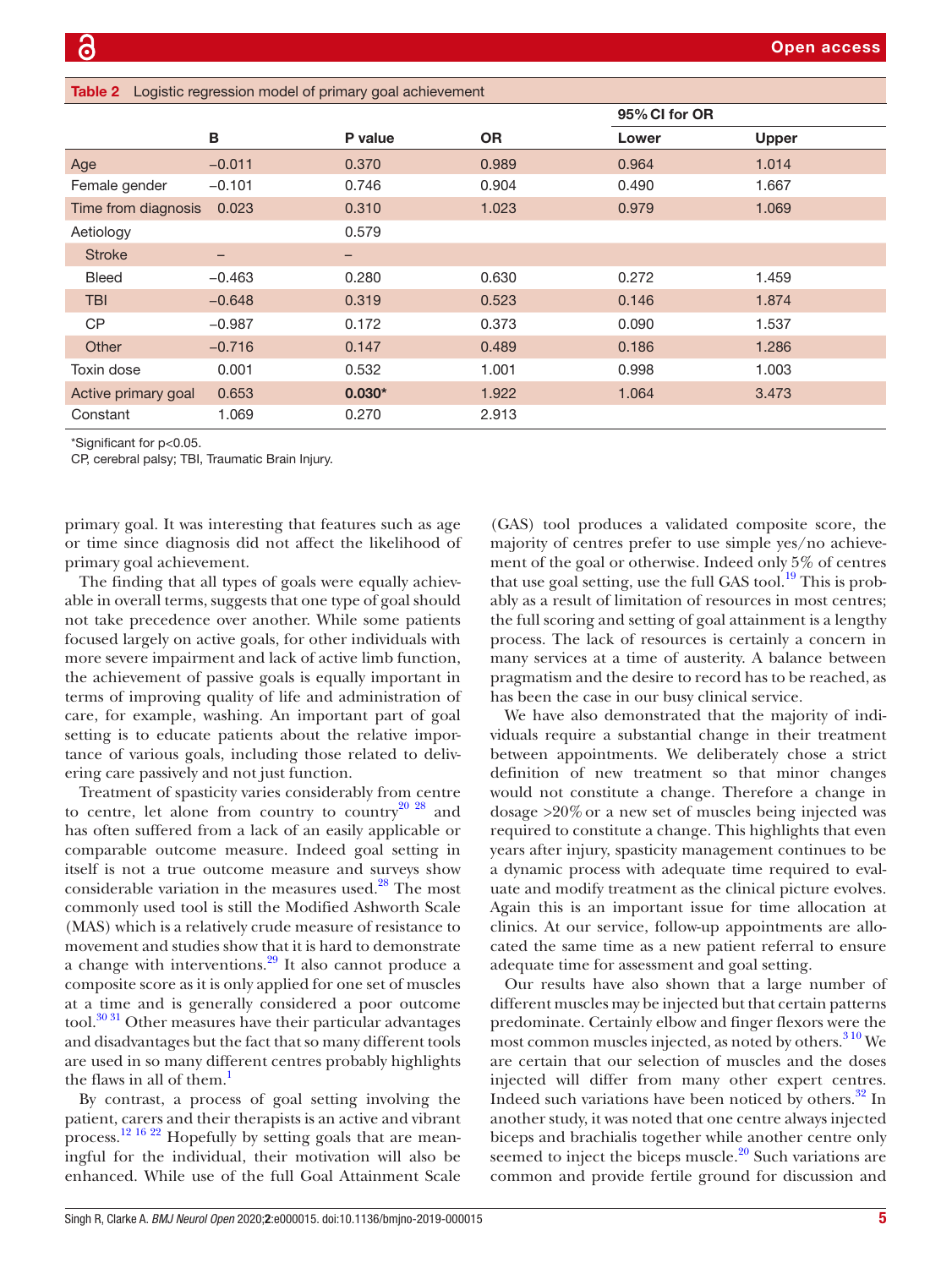<span id="page-4-0"></span>

| <b>Table 2</b> Logistic regression model of primary goal achievement |          |          |           |               |              |  |  |  |
|----------------------------------------------------------------------|----------|----------|-----------|---------------|--------------|--|--|--|
|                                                                      |          |          |           | 95% CI for OR |              |  |  |  |
|                                                                      | В        | P value  | <b>OR</b> | Lower         | <b>Upper</b> |  |  |  |
| Age                                                                  | $-0.011$ | 0.370    | 0.989     | 0.964         | 1.014        |  |  |  |
| Female gender                                                        | $-0.101$ | 0.746    | 0.904     | 0.490         | 1.667        |  |  |  |
| Time from diagnosis                                                  | 0.023    | 0.310    | 1.023     | 0.979         | 1.069        |  |  |  |
| Aetiology                                                            |          | 0.579    |           |               |              |  |  |  |
| <b>Stroke</b>                                                        | -        | -        |           |               |              |  |  |  |
| <b>Bleed</b>                                                         | $-0.463$ | 0.280    | 0.630     | 0.272         | 1.459        |  |  |  |
| <b>TBI</b>                                                           | $-0.648$ | 0.319    | 0.523     | 0.146         | 1.874        |  |  |  |
| <b>CP</b>                                                            | $-0.987$ | 0.172    | 0.373     | 0.090         | 1.537        |  |  |  |
| Other                                                                | $-0.716$ | 0.147    | 0.489     | 0.186         | 1.286        |  |  |  |
| Toxin dose                                                           | 0.001    | 0.532    | 1.001     | 0.998         | 1.003        |  |  |  |
| Active primary goal                                                  | 0.653    | $0.030*$ | 1.922     | 1.064         | 3.473        |  |  |  |
| Constant                                                             | 1.069    | 0.270    | 2.913     |               |              |  |  |  |
| *Significant for p<0.05.                                             |          |          |           |               |              |  |  |  |

CP, cerebral palsy; TBI, Traumatic Brain Injury.

primary goal. It was interesting that features such as age or time since diagnosis did not affect the likelihood of primary goal achievement.

The finding that all types of goals were equally achievable in overall terms, suggests that one type of goal should not take precedence over another. While some patients focused largely on active goals, for other individuals with more severe impairment and lack of active limb function, the achievement of passive goals is equally important in terms of improving quality of life and administration of care, for example, washing. An important part of goal setting is to educate patients about the relative importance of various goals, including those related to delivering care passively and not just function.

Treatment of spasticity varies considerably from centre to centre, let alone from country to country $^{20}$   $^{28}$  and has often suffered from a lack of an easily applicable or comparable outcome measure. Indeed goal setting in itself is not a true outcome measure and surveys show considerable variation in the measures used. $^{28}$  The most commonly used tool is still the Modified Ashworth Scale (MAS) which is a relatively crude measure of resistance to movement and studies show that it is hard to demonstrate a change with interventions.[29](#page-6-9) It also cannot produce a composite score as it is only applied for one set of muscles at a time and is generally considered a poor outcome tool. $30\,31$  Other measures have their particular advantages and disadvantages but the fact that so many different tools are used in so many different centres probably highlights the flaws in all of them.<sup>[1](#page-5-0)</sup>

By contrast, a process of goal setting involving the patient, carers and their therapists is an active and vibrant process[.12 16 22](#page-6-11) Hopefully by setting goals that are meaningful for the individual, their motivation will also be enhanced. While use of the full Goal Attainment Scale

(GAS) tool produces a validated composite score, the majority of centres prefer to use simple yes/no achievement of the goal or otherwise. Indeed only 5% of centres that use goal setting, use the full GAS tool.<sup>[19](#page-6-3)</sup> This is probably as a result of limitation of resources in most centres; the full scoring and setting of goal attainment is a lengthy process. The lack of resources is certainly a concern in many services at a time of austerity. A balance between pragmatism and the desire to record has to be reached, as has been the case in our busy clinical service.

We have also demonstrated that the majority of individuals require a substantial change in their treatment between appointments. We deliberately chose a strict definition of new treatment so that minor changes would not constitute a change. Therefore a change in dosage >20%or a new set of muscles being injected was required to constitute a change. This highlights that even years after injury, spasticity management continues to be a dynamic process with adequate time required to evaluate and modify treatment as the clinical picture evolves. Again this is an important issue for time allocation at clinics. At our service, follow-up appointments are allocated the same time as a new patient referral to ensure adequate time for assessment and goal setting.

Our results have also shown that a large number of different muscles may be injected but that certain patterns predominate. Certainly elbow and finger flexors were the most common muscles injected, as noted by others. $310$  We are certain that our selection of muscles and the doses injected will differ from many other expert centres. Indeed such variations have been noticed by others.<sup>32</sup> In another study, it was noted that one centre always injected biceps and brachialis together while another centre only seemed to inject the biceps muscle. $^{20}$  Such variations are common and provide fertile ground for discussion and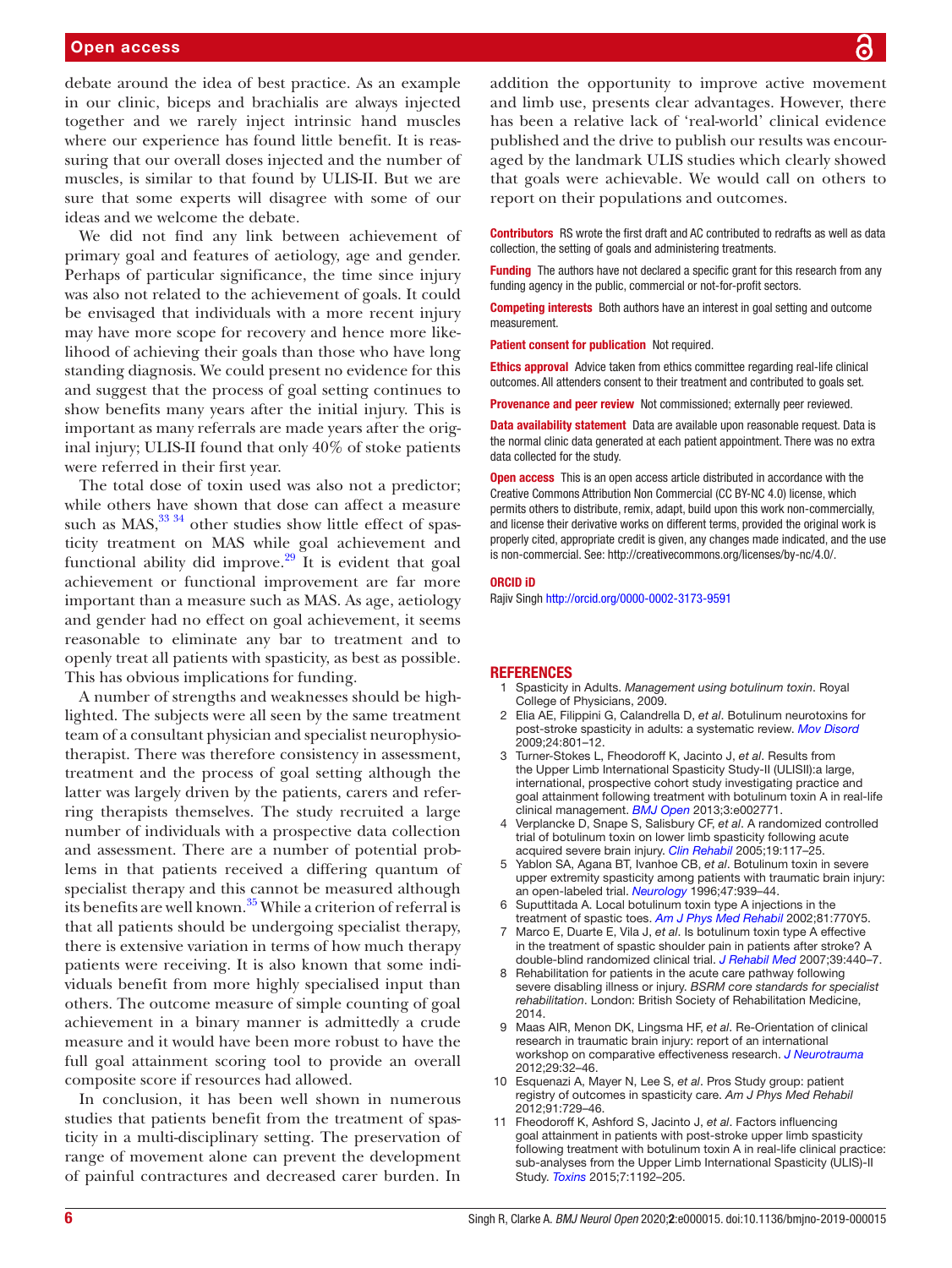### Open access

debate around the idea of best practice. As an example in our clinic, biceps and brachialis are always injected together and we rarely inject intrinsic hand muscles where our experience has found little benefit. It is reassuring that our overall doses injected and the number of muscles, is similar to that found by ULIS-II. But we are sure that some experts will disagree with some of our ideas and we welcome the debate.

We did not find any link between achievement of primary goal and features of aetiology, age and gender. Perhaps of particular significance, the time since injury was also not related to the achievement of goals. It could be envisaged that individuals with a more recent injury may have more scope for recovery and hence more likelihood of achieving their goals than those who have long standing diagnosis. We could present no evidence for this and suggest that the process of goal setting continues to show benefits many years after the initial injury. This is important as many referrals are made years after the original injury; ULIS-II found that only 40% of stoke patients were referred in their first year.

The total dose of toxin used was also not a predictor; while others have shown that dose can affect a measure such as  $MAS$ ,  $33\frac{34}{9}$  other studies show little effect of spasticity treatment on MAS while goal achievement and functional ability did improve. $29$  It is evident that goal achievement or functional improvement are far more important than a measure such as MAS. As age, aetiology and gender had no effect on goal achievement, it seems reasonable to eliminate any bar to treatment and to openly treat all patients with spasticity, as best as possible. This has obvious implications for funding.

A number of strengths and weaknesses should be highlighted. The subjects were all seen by the same treatment team of a consultant physician and specialist neurophysiotherapist. There was therefore consistency in assessment, treatment and the process of goal setting although the latter was largely driven by the patients, carers and referring therapists themselves. The study recruited a large number of individuals with a prospective data collection and assessment. There are a number of potential problems in that patients received a differing quantum of specialist therapy and this cannot be measured although its benefits are well known.<sup>[35](#page-6-14)</sup> While a criterion of referral is that all patients should be undergoing specialist therapy, there is extensive variation in terms of how much therapy patients were receiving. It is also known that some individuals benefit from more highly specialised input than others. The outcome measure of simple counting of goal achievement in a binary manner is admittedly a crude measure and it would have been more robust to have the full goal attainment scoring tool to provide an overall composite score if resources had allowed.

In conclusion, it has been well shown in numerous studies that patients benefit from the treatment of spasticity in a multi-disciplinary setting. The preservation of range of movement alone can prevent the development of painful contractures and decreased carer burden. In

addition the opportunity to improve active movement and limb use, presents clear advantages. However, there has been a relative lack of 'real-world' clinical evidence published and the drive to publish our results was encouraged by the landmark ULIS studies which clearly showed that goals were achievable. We would call on others to report on their populations and outcomes.

Contributors RS wrote the first draft and AC contributed to redrafts as well as data collection, the setting of goals and administering treatments.

**Funding** The authors have not declared a specific grant for this research from any funding agency in the public, commercial or not-for-profit sectors.

**Competing interests** Both authors have an interest in goal setting and outcome measurement.

Patient consent for publication Not required.

Ethics approval Advice taken from ethics committee regarding real-life clinical outcomes. All attenders consent to their treatment and contributed to goals set.

Provenance and peer review Not commissioned; externally peer reviewed.

Data availability statement Data are available upon reasonable request. Data is the normal clinic data generated at each patient appointment. There was no extra data collected for the study.

**Open access** This is an open access article distributed in accordance with the Creative Commons Attribution Non Commercial (CC BY-NC 4.0) license, which permits others to distribute, remix, adapt, build upon this work non-commercially, and license their derivative works on different terms, provided the original work is properly cited, appropriate credit is given, any changes made indicated, and the use is non-commercial. See: [http://creativecommons.org/licenses/by-nc/4.0/.](http://creativecommons.org/licenses/by-nc/4.0/)

#### ORCID iD

Rajiv Singh <http://orcid.org/0000-0002-3173-9591>

#### <span id="page-5-0"></span>**REFERENCES**

- 1 Spasticity in Adults. *Management using botulinum toxin*. Royal College of Physicians, 2009.
- <span id="page-5-1"></span>2 Elia AE, Filippini G, Calandrella D, *et al*. Botulinum neurotoxins for post-stroke spasticity in adults: a systematic review. *[Mov Disord](http://dx.doi.org/10.1002/mds.22452)* 2009;24:801–12.
- <span id="page-5-6"></span>3 Turner-Stokes L, Fheodoroff K, Jacinto J, *et al*. Results from the Upper Limb International Spasticity Study-II (ULISII):a large, international, prospective cohort study investigating practice and goal attainment following treatment with botulinum toxin A in real-life clinical management. *[BMJ Open](http://dx.doi.org/10.1136/bmjopen-2013-002771)* 2013;3:e002771.
- <span id="page-5-2"></span>4 Verplancke D, Snape S, Salisbury CF, *et al*. A randomized controlled trial of botulinum toxin on lower limb spasticity following acute acquired severe brain injury. *[Clin Rehabil](http://dx.doi.org/10.1191/0269215505cr827oa)* 2005;19:117–25.
- 5 Yablon SA, Agana BT, Ivanhoe CB, *et al*. Botulinum toxin in severe upper extremity spasticity among patients with traumatic brain injury: an open-labeled trial. *[Neurology](http://dx.doi.org/10.1212/WNL.47.4.939)* 1996;47:939–44.
- 6 Suputtitada A. Local botulinum toxin type A injections in the treatment of spastic toes. *[Am J Phys Med Rehabil](http://dx.doi.org/10.1097/00002060-200210000-00009)* 2002;81:770Y5.
- 7 Marco E, Duarte E, Vila J, *et al*. Is botulinum toxin type A effective in the treatment of spastic shoulder pain in patients after stroke? A double-blind randomized clinical trial. *[J Rehabil Med](http://dx.doi.org/10.2340/16501977-0066)* 2007;39:440–7.
- <span id="page-5-5"></span>8 Rehabilitation for patients in the acute care pathway following severe disabling illness or injury. *BSRM core standards for specialist rehabilitation*. London: British Society of Rehabilitation Medicine, 2014.
- <span id="page-5-3"></span>9 Maas AIR, Menon DK, Lingsma HF, *et al*. Re-Orientation of clinical research in traumatic brain injury: report of an international workshop on comparative effectiveness research. *[J Neurotrauma](http://dx.doi.org/10.1089/neu.2010.1599)* 2012;29:32–46.
- <span id="page-5-4"></span>10 Esquenazi A, Mayer N, Lee S, *et al*. Pros Study group: patient registry of outcomes in spasticity care. *Am J Phys Med Rehabil* 2012;91:729–46.
- <span id="page-5-7"></span>11 Fheodoroff K, Ashford S, Jacinto J, *et al*. Factors influencing goal attainment in patients with post-stroke upper limb spasticity following treatment with botulinum toxin A in real-life clinical practice: sub-analyses from the Upper Limb International Spasticity (ULIS)-II Study. *[Toxins](http://dx.doi.org/10.3390/toxins7041192)* 2015;7:1192–205.